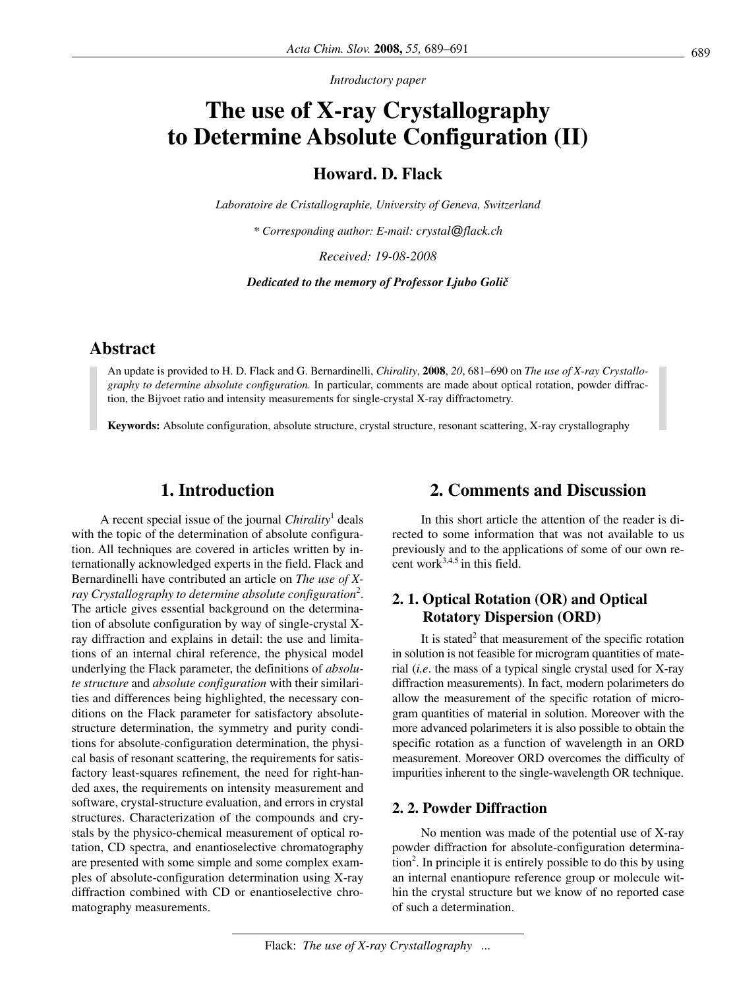*Introductory paper*

# **The use of X-ray Crystallography to Determine Absolute Configuration (II)**

**Howard. D. Flack**

*Laboratoire de Cristallographie, University of Geneva, Switzerland*

*\* Corresponding author: E-mail: crystal@flack.ch*

*Received: 19-08-2008*

*Dedicated to the memory of Professor Ljubo Goli~*

# **Abstract**

An update is provided to H. D. Flack and G. Bernardinelli, *Chirality*, **2008**, *20*, 681–690 on *The use of X-ray Crystallography to determine absolute configuration.* In particular, comments are made about optical rotation, powder diffraction, the Bijvoet ratio and intensity measurements for single-crystal X-ray diffractometry.

**Keywords:** Absolute configuration, absolute structure, crystal structure, resonant scattering, X-ray crystallography

# **1. Introduction**

A recent special issue of the journal *Chirality*<sup>1</sup> deals with the topic of the determination of absolute configuration. All techniques are covered in articles written by internationally acknowledged experts in the field. Flack and Bernardinelli have contributed an article on *The use of Xray Crystallography to determine absolute configuration*<sup>2</sup> . The article gives essential background on the determination of absolute configuration by way of single-crystal Xray diffraction and explains in detail: the use and limitations of an internal chiral reference, the physical model underlying the Flack parameter, the definitions of *absolute structure* and *absolute configuration* with their similarities and differences being highlighted, the necessary conditions on the Flack parameter for satisfactory absolutestructure determination, the symmetry and purity conditions for absolute-configuration determination, the physical basis of resonant scattering, the requirements for satisfactory least-squares refinement, the need for right-handed axes, the requirements on intensity measurement and software, crystal-structure evaluation, and errors in crystal structures. Characterization of the compounds and crystals by the physico-chemical measurement of optical rotation, CD spectra, and enantioselective chromatography are presented with some simple and some complex examples of absolute-configuration determination using X-ray diffraction combined with CD or enantioselective chromatography measurements.

# **2. Comments and Discussion**

In this short article the attention of the reader is directed to some information that was not available to us previously and to the applications of some of our own recent work $3,4,5$  in this field.

# **2. 1. Optical Rotation (OR) and Optical Rotatory Dispersion (ORD)**

It is stated<sup>2</sup> that measurement of the specific rotation in solution is not feasible for microgram quantities of material (*i.e*. the mass of a typical single crystal used for X-ray diffraction measurements). In fact, modern polarimeters do allow the measurement of the specific rotation of microgram quantities of material in solution. Moreover with the more advanced polarimeters it is also possible to obtain the specific rotation as a function of wavelength in an ORD measurement. Moreover ORD overcomes the difficulty of impurities inherent to the single-wavelength OR technique.

#### **2. 2. Powder Diffraction**

No mention was made of the potential use of X-ray powder diffraction for absolute-configuration determination<sup>2</sup>. In principle it is entirely possible to do this by using an internal enantiopure reference group or molecule within the crystal structure but we know of no reported case of such a determination.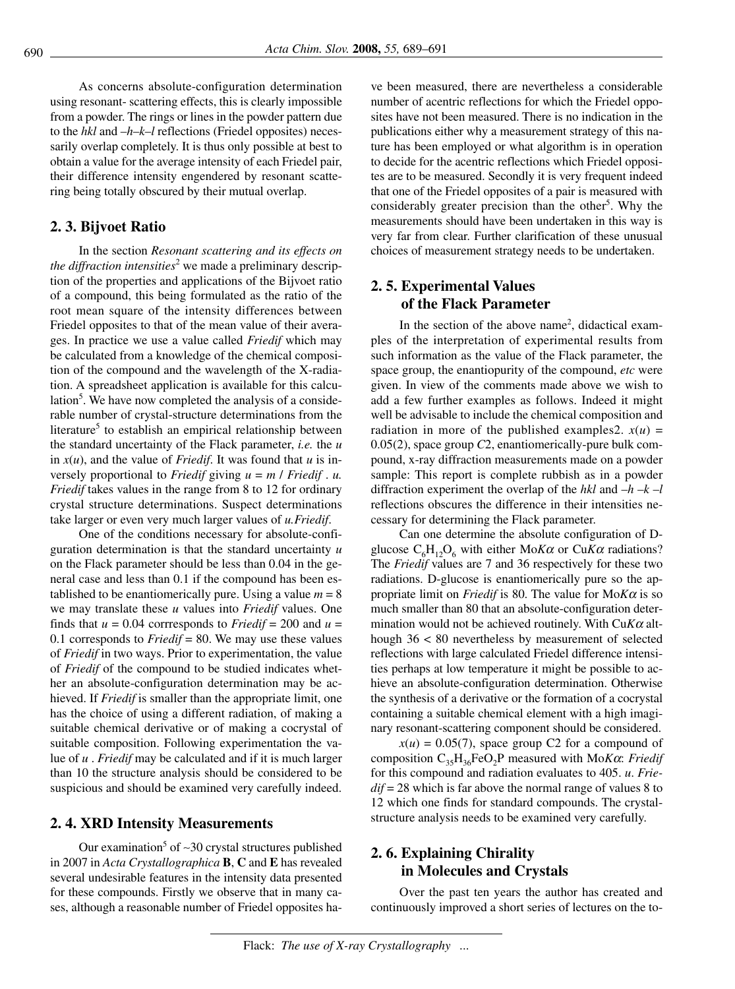As concerns absolute-configuration determination using resonant- scattering effects, this is clearly impossible from a powder. The rings or lines in the powder pattern due to the *hkl* and –*h*–*k*–*l* reflections (Friedel opposites) necessarily overlap completely. It is thus only possible at best to obtain a value for the average intensity of each Friedel pair, their difference intensity engendered by resonant scattering being totally obscured by their mutual overlap.

### **2. 3. Bijvoet Ratio**

In the section *Resonant scattering and its effects on the diffraction intensities*<sup>2</sup> we made a preliminary description of the properties and applications of the Bijvoet ratio of a compound, this being formulated as the ratio of the root mean square of the intensity differences between Friedel opposites to that of the mean value of their averages. In practice we use a value called *Friedif* which may be calculated from a knowledge of the chemical composition of the compound and the wavelength of the X-radiation. A spreadsheet application is available for this calculation<sup>5</sup>. We have now completed the analysis of a considerable number of crystal-structure determinations from the literature<sup>5</sup> to establish an empirical relationship between the standard uncertainty of the Flack parameter, *i.e.* the *u* in  $x(u)$ , and the value of *Friedif*. It was found that  $u$  is inversely proportional to *Friedif* giving *u* = *m* / *Friedif* . *u. Friedif* takes values in the range from 8 to 12 for ordinary crystal structure determinations. Suspect determinations take larger or even very much larger values of *u.Friedif*.

One of the conditions necessary for absolute-configuration determination is that the standard uncertainty *u* on the Flack parameter should be less than 0.04 in the general case and less than 0.1 if the compound has been established to be enantiomerically pure. Using a value  $m = 8$ we may translate these *u* values into *Friedif* values. One finds that  $u = 0.04$  corrresponds to *Friedif* = 200 and  $u =$ 0.1 corresponds to *Friedif* = 80. We may use these values of *Friedif* in two ways. Prior to experimentation, the value of *Friedif* of the compound to be studied indicates whether an absolute-configuration determination may be achieved. If *Friedif* is smaller than the appropriate limit, one has the choice of using a different radiation, of making a suitable chemical derivative or of making a cocrystal of suitable composition. Following experimentation the value of *u* . *Friedif* may be calculated and if it is much larger than 10 the structure analysis should be considered to be suspicious and should be examined very carefully indeed.

#### **2. 4. XRD Intensity Measurements**

Our examination5 of ∼30 crystal structures published in 2007 in *Acta Crystallographica* **B**, **C** and **E** has revealed several undesirable features in the intensity data presented for these compounds. Firstly we observe that in many cases, although a reasonable number of Friedel opposites have been measured, there are nevertheless a considerable number of acentric reflections for which the Friedel opposites have not been measured. There is no indication in the publications either why a measurement strategy of this nature has been employed or what algorithm is in operation to decide for the acentric reflections which Friedel opposites are to be measured. Secondly it is very frequent indeed that one of the Friedel opposites of a pair is measured with considerably greater precision than the other<sup>5</sup>. Why the measurements should have been undertaken in this way is very far from clear. Further clarification of these unusual choices of measurement strategy needs to be undertaken.

## **2. 5. Experimental Values of the Flack Parameter**

In the section of the above name<sup>2</sup>, didactical examples of the interpretation of experimental results from such information as the value of the Flack parameter, the space group, the enantiopurity of the compound, *etc* were given. In view of the comments made above we wish to add a few further examples as follows. Indeed it might well be advisable to include the chemical composition and radiation in more of the published examples2.  $x(u)$  = 0.05(2), space group *C*2, enantiomerically-pure bulk compound, x-ray diffraction measurements made on a powder sample: This report is complete rubbish as in a powder diffraction experiment the overlap of the *hkl* and –*h* –*k* –*l* reflections obscures the difference in their intensities necessary for determining the Flack parameter.

Can one determine the absolute configuration of Dglucose  $C_6H_{12}O_6$  with either Mo*Ka* or Cu*Ka* radiations? The *Friedif* values are 7 and 36 respectively for these two radiations. D-glucose is enantiomerically pure so the appropriate limit on *Friedif* is 80. The value for Mo*K*<sup>α</sup> is so much smaller than 80 that an absolute-configuration determination would not be achieved routinely. With Cu*K*<sup>α</sup> although 36 < 80 nevertheless by measurement of selected reflections with large calculated Friedel difference intensities perhaps at low temperature it might be possible to achieve an absolute-configuration determination. Otherwise the synthesis of a derivative or the formation of a cocrystal containing a suitable chemical element with a high imaginary resonant-scattering component should be considered.

 $x(u) = 0.05(7)$ , space group C2 for a compound of composition C35H36FeO2P measured with Mo*K*α: *Friedif* for this compound and radiation evaluates to 405. *u*. *Friedif* = 28 which is far above the normal range of values 8 to 12 which one finds for standard compounds. The crystalstructure analysis needs to be examined very carefully.

## **2. 6. Explaining Chirality in Molecules and Crystals**

Over the past ten years the author has created and continuously improved a short series of lectures on the to